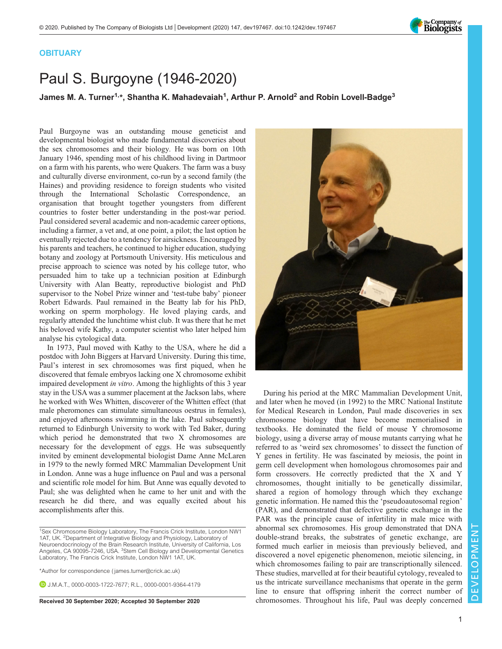

## **OBITUARY**

## Paul S. Burgoyne (1946-2020)

## James M. A. Turner $^{\mathsf{1}, \star}$ , Shantha K. Mahadevaiah $^{\mathsf{1}}$ , Arthur P. Arnold $^{\mathsf{2}}$  and Robin Lovell-Badge $^{\mathsf{3}}$

Paul Burgoyne was an outstanding mouse geneticist and developmental biologist who made fundamental discoveries about the sex chromosomes and their biology. He was born on 10th January 1946, spending most of his childhood living in Dartmoor on a farm with his parents, who were Quakers. The farm was a busy and culturally diverse environment, co-run by a second family (the Haines) and providing residence to foreign students who visited through the International Scholastic Correspondence, an organisation that brought together youngsters from different countries to foster better understanding in the post-war period. Paul considered several academic and non-academic career options, including a farmer, a vet and, at one point, a pilot; the last option he eventually rejected due to a tendency for airsickness. Encouraged by his parents and teachers, he continued to higher education, studying botany and zoology at Portsmouth University. His meticulous and precise approach to science was noted by his college tutor, who persuaded him to take up a technician position at Edinburgh University with Alan Beatty, reproductive biologist and PhD supervisor to the Nobel Prize winner and 'test-tube baby' pioneer Robert Edwards. Paul remained in the Beatty lab for his PhD, working on sperm morphology. He loved playing cards, and regularly attended the lunchtime whist club. It was there that he met his beloved wife Kathy, a computer scientist who later helped him analyse his cytological data.

In 1973, Paul moved with Kathy to the USA, where he did a postdoc with John Biggers at Harvard University. During this time, Paul's interest in sex chromosomes was first piqued, when he discovered that female embryos lacking one X chromosome exhibit impaired development in vitro. Among the highlights of this 3 year stay in the USA was a summer placement at the Jackson labs, where he worked with Wes Whitten, discoverer of the Whitten effect (that male pheromones can stimulate simultaneous oestrus in females), and enjoyed afternoons swimming in the lake. Paul subsequently returned to Edinburgh University to work with Ted Baker, during which period he demonstrated that two X chromosomes are necessary for the development of eggs. He was subsequently invited by eminent developmental biologist Dame Anne McLaren in 1979 to the newly formed MRC Mammalian Development Unit in London. Anne was a huge influence on Paul and was a personal and scientific role model for him. But Anne was equally devoted to Paul; she was delighted when he came to her unit and with the research he did there, and was equally excited about his accomplishments after this.

\*Author for correspondence [\( james.turner@crick.ac.uk](mailto:james.turner@crick.ac.uk))

**D.I.M.A.T.** [0000-0003-1722-7677;](http://orcid.org/0000-0003-1722-7677) R.L. [0000-0001-9364-4179](http://orcid.org/0000-0001-9364-4179)



During his period at the MRC Mammalian Development Unit, and later when he moved (in 1992) to the MRC National Institute for Medical Research in London, Paul made discoveries in sex chromosome biology that have become memorialised in textbooks. He dominated the field of mouse Y chromosome biology, using a diverse array of mouse mutants carrying what he referred to as 'weird sex chromosomes' to dissect the function of Y genes in fertility. He was fascinated by meiosis, the point in germ cell development when homologous chromosomes pair and form crossovers. He correctly predicted that the X and Y chromosomes, thought initially to be genetically dissimilar, shared a region of homology through which they exchange genetic information. He named this the 'pseudoautosomal region' (PAR), and demonstrated that defective genetic exchange in the PAR was the principle cause of infertility in male mice with abnormal sex chromosomes. His group demonstrated that DNA double-strand breaks, the substrates of genetic exchange, are formed much earlier in meiosis than previously believed, and discovered a novel epigenetic phenomenon, meiotic silencing, in which chromosomes failing to pair are transcriptionally silenced. These studies, marvelled at for their beautiful cytology, revealed to us the intricate surveillance mechanisms that operate in the germ line to ensure that offspring inherit the correct number of Received 30 September 2020; Accepted 30 September 2020 chromosomes. Throughout his life, Paul was deeply concerned

<sup>&</sup>lt;sup>1</sup>Sex Chromosome Biology Laboratory, The Francis Crick Institute, London NW1 1AT, UK. <sup>2</sup>Department of Integrative Biology and Physiology, Laboratory of Neuroendocrinology of the Brain Research Institute, University of California, Los Angeles, CA 90095-7246, USA. <sup>3</sup>Stem Cell Biology and Developmental Genetics Laboratory, The Francis Crick Institute, London NW1 1AT, UK.